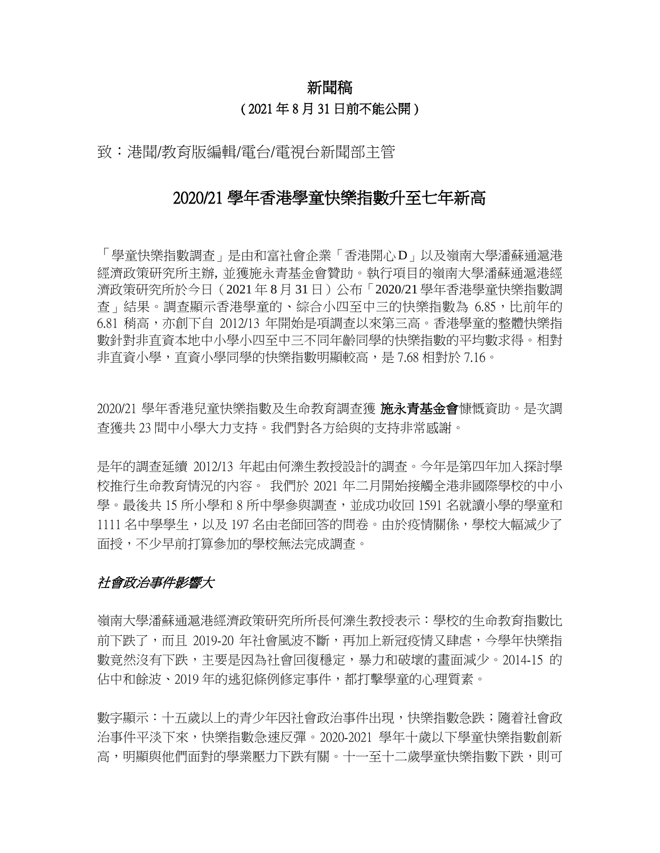# 新聞稿 ( 2021 年 8 月 31 日前不能公開 )

致:港聞/教育版編輯/電台/電視台新聞部主管

# 2020/21 學年香港學童快樂指數升至七年新高

「學童快樂指數調查」是由和富社會企業「香港開心D」以及嶺南大學潘蘇通滬港 經濟政策研究所主辦, 並獲施永青基金會贊助。執行項目的嶺南大學潘蘇通滬港經 濟政策研究所於今日(2021 年 8 月 31 日)公布「2020/21 學年香港學童快樂指數調 查」結果。調查顯示香港學童的、綜合小四至中三的快樂指數為 6.85,比前年的 6.81 稍高,亦創下自 2012/13 年開始是項調查以來第三高。香港學童的整體快樂指 數針對非直資本地中小學小四至中三不同年齡同學的快樂指數的平均數求得。相對 非直資小學,直資小學同學的快樂指數明顯較高,是 7.68 相對於 7.16。

2020/21 學年香港兒童快樂指數及生命教育調查獲 **施永青基金會**慷慨資助。是次調 查獲共 23 間中小學大力支持。我們對各方給與的支持非常感謝。

是年的調查延續 2012/13 年起由何濼生教授設計的調查。今年是第四年加入探討學 校推行生命教育情況的內容。 我們於 2021 年二月開始接觸全港非國際學校的中小 學。最後共 15 所小學和 8 所中學參與調杳,並成功收回 1591 名就讀小學的學童和 1111 名中學學生,以及 197 名由老師回答的問卷。由於疫情關係,學校大幅減少了 面授,不少早前打算參加的學校無法完成調查。

### 社會政治事件影響大

嶺南大學潘蘇通滬港經濟政策研究所所長何濼生教授表示:學校的生命教育指數比 前下跌了,而且 2019-20 年社會風波不斷,再加上新冠疫情又肆虐,今學年快樂指 數竟然沒有下跌,主要是因為社會回復穩定,暴力和破壞的畫面減少。2014-15 的 佔中和餘波、2019 年的逃犯條例修定事件,都打擊學童的心理質素。

數字顯示:十五歲以上的青少年因社會政治事件出現,快樂指數急跌;隨着社會政 治事件平淡下來,快樂指數急速反彈。2020-2021 學年十歲以下學童快樂指數創新 高,明顯與他們面對的學業壓力下跌有關。十一至十二歲學童快樂指數下跌,則可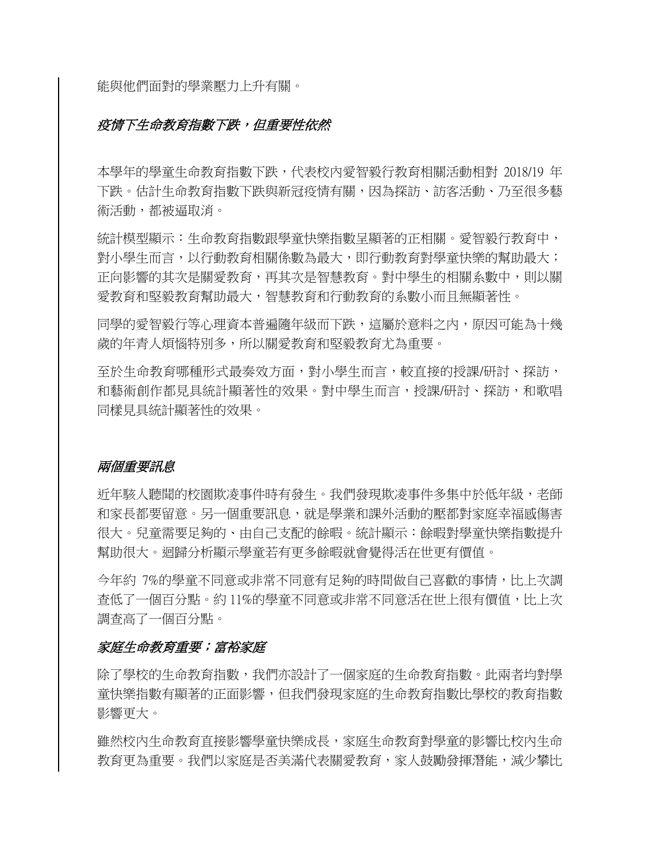能與他們面對的學業壓力上升有關。

### **疫情下生命教育指數下跌,但重要性依然**

本學年的學童生命教育指數下跌,代表校內愛智毅行教育相關活動相對 2018/19 年 下跌。估計生命教育指數下跌與新冠疫情有關,因為探訪、訪客活動、乃至很多藝 術活動,都被逼取消。

統計模型顯示:生命教育指數跟學童快樂指數呈顯著的正相關。愛智毅行教育中, 對小學生而言,以行動教育相關係數為最大,即行動教育對學童快樂的幫助最大; 正向影響的其次是關愛教育,再其次是智慧教育。對中學生的相關系數中,則以關 愛教育和堅毅教育財最大,智慧教育和行動教育的系數小而且無顯著性。

同學的愛智毅行等心理資本普遍隨年級而下跌,這屬於意料之內,原因可能為十幾 歲的年青人煩惱特別多,所以關愛教育和堅毅教育尤為重要。

至於生命教育哪種形式最奏效方面,對小學生而言,較直接的授課/研討、探訪, 和藝術創作都見具統計顯著性的效果。對中學生而言,授課/研討、探訪,和歌唱 同樣見具統計顯著性的效果。

#### 兩個重要訊息

折年駭人聽聞的校園欺凌事件時有發生。我們發現欺凌事件多集中於低年級,老師 和家長都要留意。另一個重要訊息,就是學業和課外活動的壓都對家庭幸福感傷害 很大。兒童需要足夠的、由自己支配的餘暇。統計顯示:餘暇對學童快樂指數提升 幫助很大。迴歸分析顯示學童若有更多餘暇就會覺得活在世更有價值。

今年約 7%的學童不同意或非常不同意有足夠的時間做自己喜歡的事情,比上次調 查低了一個百分點。約 11%的學童不同意或非常不同意活在世上很有價值,比上次 調查高了一個百分點。

### 家庭生命教育重要;富裕家庭

除了學校的生命教育指數,我們亦設計了一個家庭的生命教育指數。此兩者均對學 童快樂指數有顯著的正面影響,但我們發現家庭的生命教育指數比學校的教育指數 影響更大。

雖然校內生命教育直接影響學童快樂成長,家庭生命教育對學童的影響比校內生命 教育更為重要。我們以家庭是否美滿代表關愛教育,家人鼓勵發揮潛能,減少攀比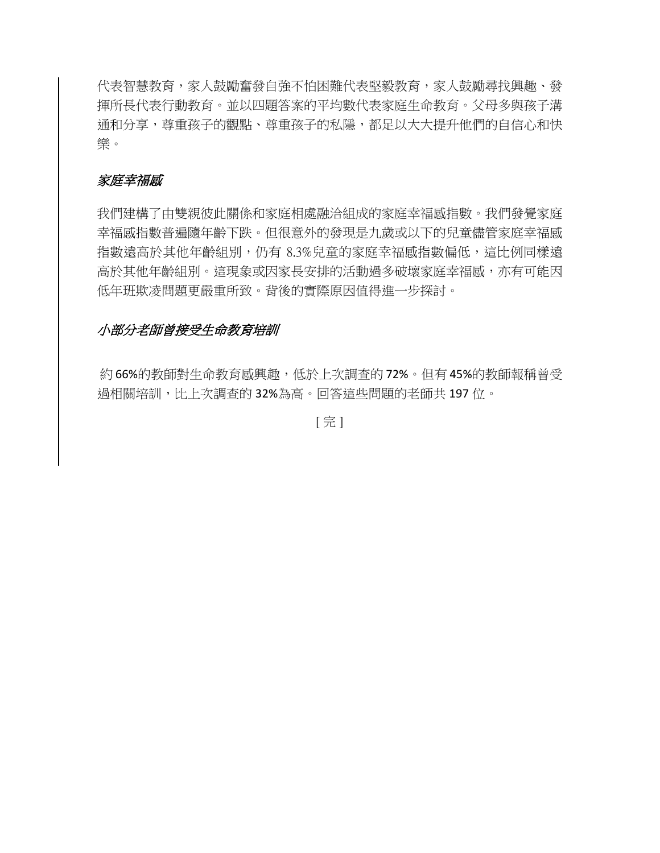代表智慧教育,家人鼓勵奮發自強不怕困難代表堅毅教育,家人鼓勵尋找興趣、發 揮所長代表行動教育。並以四題答案的平均數代表家庭生命教育。父母多與孩子溝 通和分享,尊重孩子的種隱,都足以大大提升他們的自信心和快 樂。

### 家庭幸福感

我們建構了由雙親彼此關係和家庭相處融洽組成的家庭幸福感指數。我們發覺家庭 幸福感指數普遍隨年齡下跌。但很意外的發現是九歲或以下的兒童儘管家庭幸福感 指數遠高於其他年齡組別,仍有 8.3%兒童的家庭幸福感指數偏低,這比例同樣遠 高於其他年齡組別。這現象或因家長安排的活動過多破壞家庭幸福感,亦有可能因 低年班欺凌問題更嚴重所致。背後的實際原因值得進一步探討。

### 小部分老師曾接受生命教育培訓

約 66%的教師對生命教育感興趣,低於上次調查的 72%。但有 45%的教師報稱曾受 過相關培訓,比上次調查的 32%為高。回答這些問題的老師共 197 位。

[ 完 ]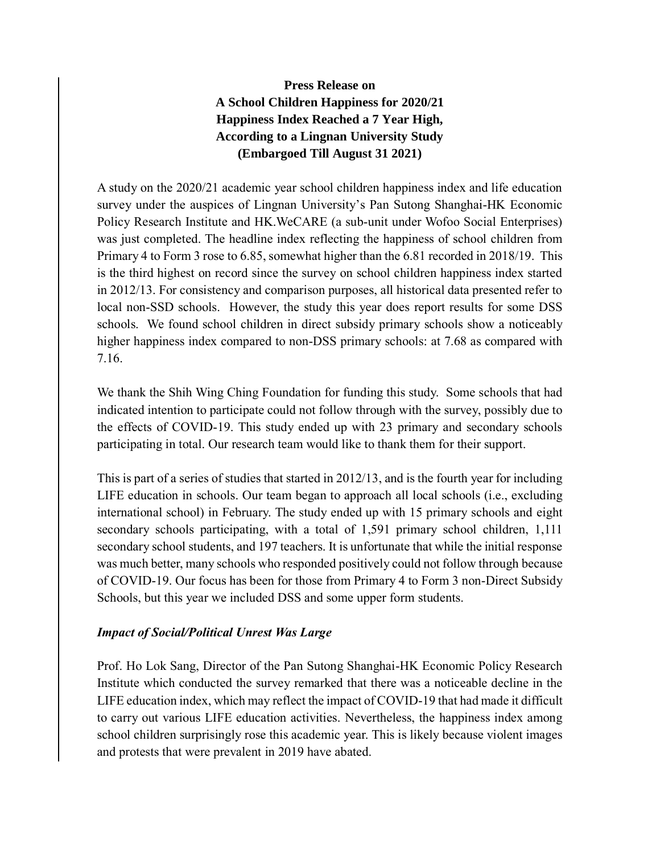## **Press Release on A School Children Happiness for 2020/21 Happiness Index Reached a 7 Year High, According to a Lingnan University Study (Embargoed Till August 31 2021)**

A study on the 2020/21 academic year school children happiness index and life education survey under the auspices of Lingnan University's Pan Sutong Shanghai-HK Economic Policy Research Institute and HK.WeCARE (a sub-unit under Wofoo Social Enterprises) was just completed. The headline index reflecting the happiness of school children from Primary 4 to Form 3 rose to 6.85, somewhat higher than the 6.81 recorded in 2018/19. This is the third highest on record since the survey on school children happiness index started in 2012/13. For consistency and comparison purposes, all historical data presented refer to local non-SSD schools. However, the study this year does report results for some DSS schools. We found school children in direct subsidy primary schools show a noticeably higher happiness index compared to non-DSS primary schools: at 7.68 as compared with 7.16.

We thank the Shih Wing Ching Foundation for funding this study. Some schools that had indicated intention to participate could not follow through with the survey, possibly due to the effects of COVID-19. This study ended up with 23 primary and secondary schools participating in total. Our research team would like to thank them for their support.

This is part of a series of studies that started in 2012/13, and is the fourth year for including LIFE education in schools. Our team began to approach all local schools (i.e., excluding international school) in February. The study ended up with 15 primary schools and eight secondary schools participating, with a total of 1,591 primary school children, 1,111 secondary school students, and 197 teachers. It is unfortunate that while the initial response was much better, many schools who responded positively could not follow through because of COVID-19. Our focus has been for those from Primary 4 to Form 3 non-Direct Subsidy Schools, but this year we included DSS and some upper form students.

### *Impact of Social/Political Unrest Was Large*

Prof. Ho Lok Sang, Director of the Pan Sutong Shanghai-HK Economic Policy Research Institute which conducted the survey remarked that there was a noticeable decline in the LIFE education index, which may reflect the impact of COVID-19 that had made it difficult to carry out various LIFE education activities. Nevertheless, the happiness index among school children surprisingly rose this academic year. This is likely because violent images and protests that were prevalent in 2019 have abated.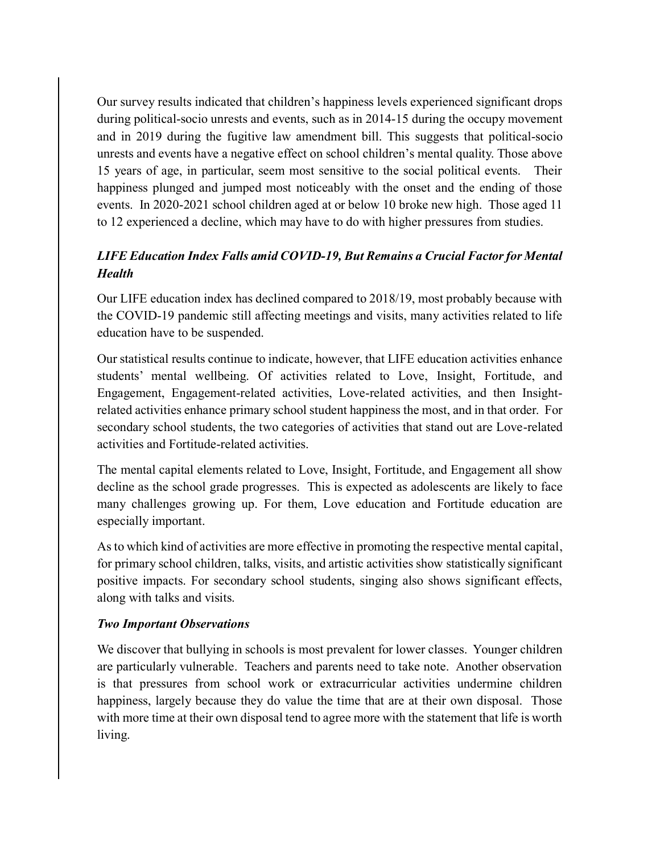Our survey results indicated that children's happiness levels experienced significant drops during political-socio unrests and events, such as in 2014-15 during the occupy movement and in 2019 during the fugitive law amendment bill. This suggests that political-socio unrests and events have a negative effect on school children's mental quality. Those above 15 years of age, in particular, seem most sensitive to the social political events. Their happiness plunged and jumped most noticeably with the onset and the ending of those events. In 2020-2021 school children aged at or below 10 broke new high. Those aged 11 to 12 experienced a decline, which may have to do with higher pressures from studies.

# *LIFE Education Index Falls amid COVID-19, But Remains a Crucial Factor for Mental Health*

Our LIFE education index has declined compared to 2018/19, most probably because with the COVID-19 pandemic still affecting meetings and visits, many activities related to life education have to be suspended.

Our statistical results continue to indicate, however, that LIFE education activities enhance students' mental wellbeing. Of activities related to Love, Insight, Fortitude, and Engagement, Engagement-related activities, Love-related activities, and then Insightrelated activities enhance primary school student happiness the most, and in that order. For secondary school students, the two categories of activities that stand out are Love-related activities and Fortitude-related activities.

The mental capital elements related to Love, Insight, Fortitude, and Engagement all show decline as the school grade progresses. This is expected as adolescents are likely to face many challenges growing up. For them, Love education and Fortitude education are especially important.

As to which kind of activities are more effective in promoting the respective mental capital, for primary school children, talks, visits, and artistic activities show statistically significant positive impacts. For secondary school students, singing also shows significant effects, along with talks and visits.

### *Two Important Observations*

We discover that bullying in schools is most prevalent for lower classes. Younger children are particularly vulnerable. Teachers and parents need to take note. Another observation is that pressures from school work or extracurricular activities undermine children happiness, largely because they do value the time that are at their own disposal. Those with more time at their own disposal tend to agree more with the statement that life is worth living.